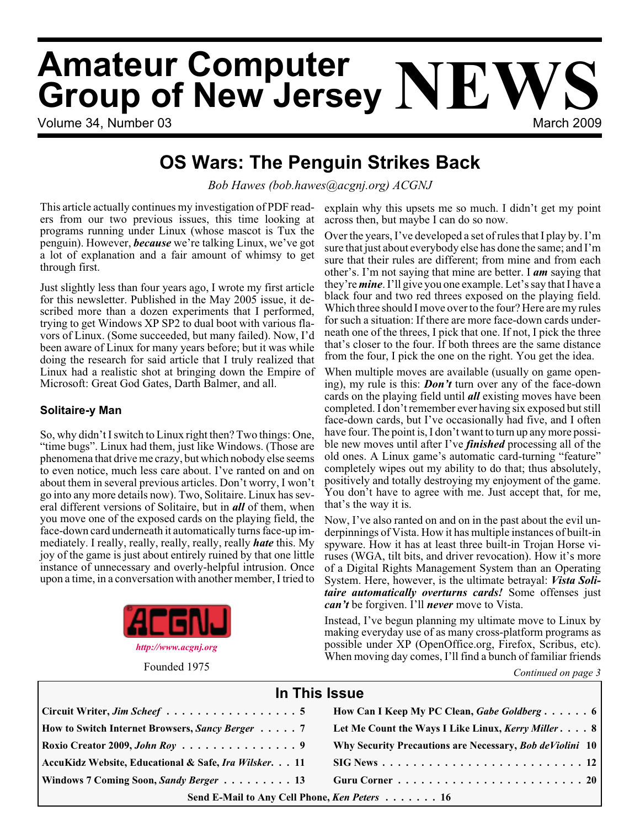# **Amateur Computer Group of New Jersey NEWS**

Volume 34, Number 03 March 2009

# **OS Wars: The Penguin Strikes Back**

*Bob Hawes (bob.hawes@acgnj.org) ACGNJ*

This article actually continues my investigation of PDF readers from our two previous issues, this time looking at programs running under Linux (whose mascot is Tux the penguin). However, *because* we're talking Linux, we've got a lot of explanation and a fair amount of whimsy to get through first.

Just slightly less than four years ago, I wrote my first article for this newsletter. Published in the May 2005 issue, it described more than a dozen experiments that I performed, trying to get Windows XP SP2 to dual boot with various flavors of Linux. (Some succeeded, but many failed). Now, I'd been aware of Linux for many years before; but it was while doing the research for said article that I truly realized that Linux had a realistic shot at bringing down the Empire of Microsoft: Great God Gates, Darth Balmer, and all.

#### **Solitaire-y Man**

So, why didn't I switch to Linux right then? Two things: One, "time bugs". Linux had them, just like Windows. (Those are phenomena that drive me crazy, but which nobody else seems to even notice, much less care about. I've ranted on and on about them in several previous articles. Don't worry, I won't go into any more details now). Two, Solitaire. Linux has several different versions of Solitaire, but in *all* of them, when you move one of the exposed cards on the playing field, the face-down card underneath it automatically turns face-up immediately. I really, really, really, really, really *hate* this. My joy of the game is just about entirely ruined by that one little instance of unnecessary and overly-helpful intrusion. Once upon a time, in a conversation with another member, I tried to



explain why this upsets me so much. I didn't get my point across then, but maybe I can do so now.

Over the years, I've developed a set of rules that I play by. I'm sure that just about everybody else has done the same; and I'm sure that their rules are different; from mine and from each other's. I'm not saying that mine are better. I *am* saying that they're*mine*. I'll give you one example. Let's say that I have a black four and two red threes exposed on the playing field. Which three should I move over to the four? Here are my rules for such a situation: If there are more face-down cards underneath one of the threes, I pick that one. If not, I pick the three that's closer to the four. If both threes are the same distance from the four, I pick the one on the right. You get the idea.

When multiple moves are available (usually on game opening), my rule is this: *Don't* turn over any of the face-down cards on the playing field until *all* existing moves have been completed. I don't remember ever having six exposed but still face-down cards, but I've occasionally had five, and I often have four. The point is, I don't want to turn up any more possible new moves until after I've *finished* processing all of the old ones. A Linux game's automatic card-turning "feature" completely wipes out my ability to do that; thus absolutely, positively and totally destroying my enjoyment of the game. You don't have to agree with me. Just accept that, for me, that's the way it is.

Now, I've also ranted on and on in the past about the evil underpinnings of Vista. How it has multiple instances of built-in spyware. How it has at least three built-in Trojan Horse viruses (WGA, tilt bits, and driver revocation). How it's more of a Digital Rights Management System than an Operating System. Here, however, is the ultimate betrayal: *Vista Solitaire automatically overturns cards!* Some offenses just *can't* be forgiven. I'll *never* move to Vista.

Instead, I've begun planning my ultimate move to Linux by making everyday use of as many cross-platform programs as possible under XP (OpenOffice.org, Firefox, Scribus, etc). When moving day comes, I'll find a bunch of familiar friends

Founded 1975 **Continued on page 3** 

| In This Issue                                                     |                                                                                        |  |  |  |
|-------------------------------------------------------------------|----------------------------------------------------------------------------------------|--|--|--|
| $\vert$ Circuit Writer, <i>Jim Scheef</i> 5                       | How Can I Keep My PC Clean, Gabe Goldberg 6                                            |  |  |  |
| <b>How to Switch Internet Browsers, Sancy Berger</b> 7            | Let Me Count the Ways I Like Linux, Kerry Miller 8                                     |  |  |  |
| Roxio Creator 2009, John Roy $\ldots \ldots \ldots \ldots \ldots$ | Why Security Precautions are Necessary, Bob deViolini 10                               |  |  |  |
| AccuKidz Website, Educational & Safe, Ira Wilsker. 11             | $\text{SIG News} \dots \dots \dots \dots \dots \dots \dots \dots \dots \dots \dots 12$ |  |  |  |
| Windows 7 Coming Soon, Sandy Berger 13                            |                                                                                        |  |  |  |
| Send E-Mail to Any Cell Phone, Ken Peters 16                      |                                                                                        |  |  |  |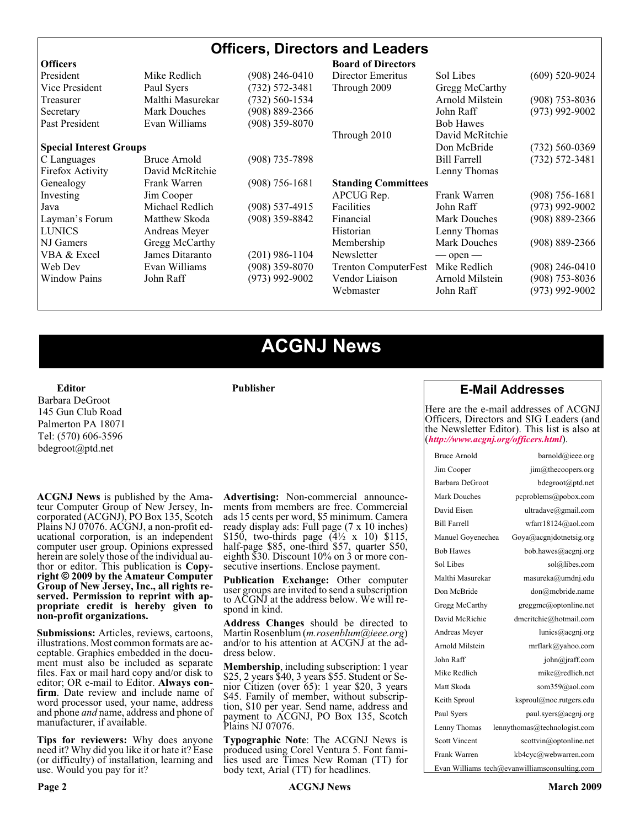| <b>Officers, Directors and Leaders</b> |                     |                    |                             |                     |                    |
|----------------------------------------|---------------------|--------------------|-----------------------------|---------------------|--------------------|
| <b>Officers</b>                        |                     |                    | <b>Board of Directors</b>   |                     |                    |
| President                              | Mike Redlich        | (908) 246-0410     | Director Emeritus           | Sol Libes           | $(609)$ 520-9024   |
| Vice President                         | Paul Syers          | $(732) 572 - 3481$ | Through 2009                | Gregg McCarthy      |                    |
| Treasurer                              | Malthi Masurekar    | (732) 560-1534     |                             | Arnold Milstein     | $(908)$ 753-8036   |
| Secretary                              | <b>Mark Douches</b> | $(908) 889 - 2366$ |                             | John Raff           | $(973)$ 992-9002   |
| Past President                         | Evan Williams       | $(908)$ 359-8070   |                             | <b>Bob Hawes</b>    |                    |
|                                        |                     |                    | Through 2010                | David McRitchie     |                    |
| <b>Special Interest Groups</b>         |                     |                    |                             | Don McBride         | $(732)$ 560-0369   |
| C Languages                            | Bruce Arnold        | $(908)$ 735-7898   |                             | <b>Bill Farrell</b> | $(732) 572 - 3481$ |
| Firefox Activity                       | David McRitchie     |                    |                             | Lenny Thomas        |                    |
| Genealogy                              | Frank Warren        | $(908)$ 756-1681   | <b>Standing Committees</b>  |                     |                    |
| Investing                              | Jim Cooper          |                    | APCUG Rep.                  | Frank Warren        | $(908) 756 - 1681$ |
| Java                                   | Michael Redlich     | $(908) 537 - 4915$ | <b>Facilities</b>           | John Raff           | $(973)$ 992-9002   |
| Layman's Forum                         | Matthew Skoda       | $(908)$ 359-8842   | Financial                   | <b>Mark Douches</b> | $(908) 889 - 2366$ |
| <b>LUNICS</b>                          | Andreas Meyer       |                    | Historian                   | Lenny Thomas        |                    |
| NJ Gamers                              | Gregg McCarthy      |                    | Membership                  | <b>Mark Douches</b> | $(908) 889 - 2366$ |
| VBA & Excel                            | James Ditaranto     | (201) 986-1104     | Newsletter                  | $-$ open $-$        |                    |
| Web Dev                                | Evan Williams       | $(908)$ 359-8070   | <b>Trenton ComputerFest</b> | Mike Redlich        | $(908)$ 246-0410   |
| <b>Window Pains</b>                    | John Raff           | $(973)$ 992-9002   | Vendor Liaison              | Arnold Milstein     | $(908)$ 753-8036   |
|                                        |                     |                    | Webmaster                   | John Raff           | (973) 992-9002     |

# **ACGNJ News**

**Publisher**

**Editor** Barbara DeGroot 145 Gun Club Road Palmerton PA 18071 Tel: (570) 606-3596 bdegroot@ptd.net

**ACGNJ News** is published by the Ama- teur Computer Group of New Jersey, In- corporated (ACGNJ), PO Box 135, Scotch Plains NJ 07076. ACGNJ, a non-profit ed-<br>ucational corporation, is an independent computer user group. Opinions expressed herein are solely those of the individual author or editor. This publication is **Copy-**<br>**right** © 2009 by the Amateur Computer<br>**Group of New Jersey, Inc., all rights re-Group of New Jersey, Inc., all rights re- served. Permission to reprint with ap- propriate credit is hereby given to non-profit organizations.**

**Submissions:** Articles, reviews, cartoons, illustrations. Most common formats are ac- ceptable. Graphics embedded in the docu- ment must also be included as separate files. Fax or mail hard copy and/or disk to editor; OR e-mail to Editor. Always confirm. Date review and include name of word processor used, your name, address and phone *and* name, address and phone of manufacturer, if available.

**Tips for reviewers:** Why does anyone need it? Why did you like it or hate it? Ease (or difficulty) of installation, learning and use. Would you pay for it?

**Advertising:** Non-commercial announce- ments from members are free. Commercial ads 15 cents per word, \$5 minimum. Camera ready display ads: Full page (7 x 10 inches) \$150, two-thirds page  $(4\frac{1}{2} \times 10)$  \$115, half-page \$85, one-third \$57, quarter \$50, eighth \$30. Discount 10% on 3 or more con- secutive insertions. Enclose payment.

**Publication Exchange:** Other computer user groups are invited to send a subscription to ACGNJ at the address below. We will re- spond in kind.

**Address Changes** should be directed to Martin Rosenblum (*m.rosenblum@ieee.org*) and/or to his attention at ACGNJ at the ad- dress below.

**Membership**, including subscription: 1 year \$25, 2 years \$40, 3 years \$55. Student or Senior Citizen (over 65): 1 year \$20, 3 years \$45. Family of member, without subscription, \$10 per year. Send name, address and payment to ACGNJ, PO Box 135, Scotch Plains NJ 07076.

**Typographic Note**: The ACGNJ News is produced using Corel Ventura 5. Font fami- lies used are Times New Roman (TT) for body text, Arial (TT) for headlines.

#### **E-Mail Addresses**

Here are the e-mail addresses of ACGNJ Officers, Directors and SIG Leaders (and the Newsletter Editor). This list is also at (*<http://www.acgnj.org/officers.html>*).

| Bruce Arnold         | barnold@ieee.org                              |
|----------------------|-----------------------------------------------|
| Jim Cooper           | $\lim$ ( $a$ ) the coopers.org                |
| Barbara DeGroot      | bdegroot@ptd.net                              |
| Mark Douches         | pcproblems@pobox.com                          |
| David Eisen          | ultradave@gmail.com                           |
| <b>Bill Farrell</b>  | wfarr18124@aol.com                            |
| Manuel Goyenechea    | Goya@acgnidotnetsig.org                       |
| <b>Bob Hawes</b>     | bob.hawes@acgnj.org                           |
| Sol Libes            | sol@libes.com                                 |
| Malthi Masurekar     | masureka@umdnj.edu                            |
| Don McBride          | don@mcbride.name                              |
| Gregg McCarthy       | greggmc@optonline.net                         |
| David McRichie       | dmcritchie@hotmail.com                        |
| Andreas Meyer        | lunics@acgnj.org                              |
| Arnold Milstein      | mrflark@yahoo.com                             |
| John Raff            | $\overline{\text{iohn}(a)}$ raff.com          |
| Mike Redlich         | mike@redlich.net                              |
| Matt Skoda           | som359@aol.com                                |
| Keith Sproul         | ksproul@noc.rutgers.edu                       |
| Paul Syers           | paul.svers@acgni.org                          |
| Lenny Thomas         | lennythomas@technologist.com                  |
| <b>Scott Vincent</b> | scottvin@optonline.net                        |
| Frank Warren         | kb4cyc@webwarren.com                          |
|                      | Evan Williams tech@evanwilliamsconsulting.com |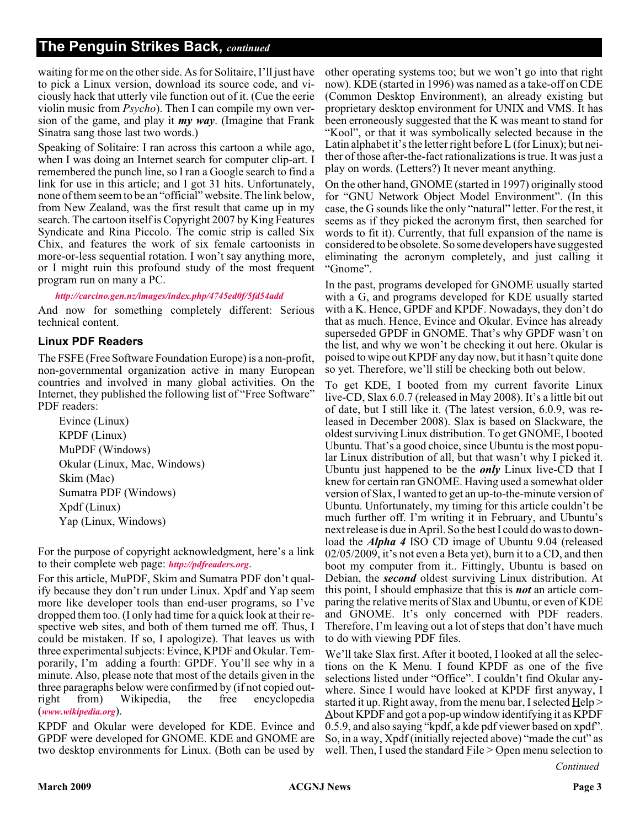#### **The Penguin Strikes Back,** *continued*

waiting for me on the other side. As for Solitaire, I'll just have to pick a Linux version, download its source code, and viciously hack that utterly vile function out of it. (Cue the eerie violin music from *Psycho*). Then I can compile my own version of the game, and play it *my way*. (Imagine that Frank Sinatra sang those last two words.)

Speaking of Solitaire: I ran across this cartoon a while ago, when I was doing an Internet search for computer clip-art. I remembered the punch line, so I ran a Google search to find a link for use in this article; and I got 31 hits. Unfortunately, none of them seem to be an "official" website. The link below, from New Zealand, was the first result that came up in my search. The cartoon itself is Copyright 2007 by King Features Syndicate and Rina Piccolo. The comic strip is called Six Chix, and features the work of six female cartoonists in more-or-less sequential rotation. I won't say anything more, or I might ruin this profound study of the most frequent program run on many a PC.

*<http://carcino.gen.nz/images/index.php/4745ed0f/5fd54add>*

And now for something completely different: Serious technical content.

#### **Linux PDF Readers**

The FSFE (Free Software Foundation Europe) is a non-profit, non-governmental organization active in many European countries and involved in many global activities. On the Internet, they published the following list of "Free Software" PDF readers:

Evince (Linux) KPDF (Linux) MuPDF (Windows) Okular (Linux, Mac, Windows) Skim (Mac) Sumatra PDF (Windows) Xpdf (Linux) Yap (Linux, Windows)

For the purpose of copyright acknowledgment, here's a link to their complete web page: *<http://pdfreaders.org>*.

For this article, MuPDF, Skim and Sumatra PDF don't qualify because they don't run under Linux. Xpdf and Yap seem more like developer tools than end-user programs, so I've dropped them too. (I only had time for a quick look at their respective web sites, and both of them turned me off. Thus, I could be mistaken. If so, I apologize). That leaves us with three experimental subjects: Evince, KPDF and Okular. Temporarily, I'm adding a fourth: GPDF. You'll see why in a minute. Also, please note that most of the details given in the three paragraphs below were confirmed by (if not copied outright from) Wikipedia, the free encyclopedia (*[www.wikipedia.org](http://www.wikipedia.org)*).

KPDF and Okular were developed for KDE. Evince and GPDF were developed for GNOME. KDE and GNOME are two desktop environments for Linux. (Both can be used by

other operating systems too; but we won't go into that right now). KDE (started in 1996) was named as a take-off on CDE (Common Desktop Environment), an already existing but proprietary desktop environment for UNIX and VMS. It has been erroneously suggested that the K was meant to stand for "Kool", or that it was symbolically selected because in the Latin alphabet it's the letter right before L (for Linux); but neither of those after-the-fact rationalizations is true. It was just a play on words. (Letters?) It never meant anything.

On the other hand, GNOME (started in 1997) originally stood for "GNU Network Object Model Environment". (In this case, the G sounds like the only "natural" letter. For the rest, it seems as if they picked the acronym first, then searched for words to fit it). Currently, that full expansion of the name is considered to be obsolete. So some developers have suggested eliminating the acronym completely, and just calling it "Gnome".

In the past, programs developed for GNOME usually started with a G, and programs developed for KDE usually started with a K. Hence, GPDF and KPDF. Nowadays, they don't do that as much. Hence, Evince and Okular. Evince has already superseded GPDF in GNOME. That's why GPDF wasn't on the list, and why we won't be checking it out here. Okular is poised to wipe out KPDF any day now, but it hasn't quite done so yet. Therefore, we'll still be checking both out below.

To get KDE, I booted from my current favorite Linux live-CD, Slax 6.0.7 (released in May 2008). It's a little bit out of date, but I still like it. (The latest version, 6.0.9, was released in December 2008). Slax is based on Slackware, the oldest surviving Linux distribution. To get GNOME, I booted Ubuntu. That's a good choice, since Ubuntu is the most popular Linux distribution of all, but that wasn't why I picked it. Ubuntu just happened to be the *only* Linux live-CD that I knew for certain ran GNOME. Having used a somewhat older version of Slax, I wanted to get an up-to-the-minute version of Ubuntu. Unfortunately, my timing for this article couldn't be much further off. I'm writing it in February, and Ubuntu's next release is due in April. So the best I could do was to download the *Alpha 4* ISO CD image of Ubuntu 9.04 (released 02/05/2009, it's not even a Beta yet), burn it to a CD, and then boot my computer from it.. Fittingly, Ubuntu is based on Debian, the *second* oldest surviving Linux distribution. At this point, I should emphasize that this is *not* an article comparing the relative merits of Slax and Ubuntu, or even of KDE and GNOME. It's only concerned with PDF readers. Therefore, I'm leaving out a lot of steps that don't have much to do with viewing PDF files.

We'll take Slax first. After it booted, I looked at all the selections on the K Menu. I found KPDF as one of the five selections listed under "Office". I couldn't find Okular anywhere. Since I would have looked at KPDF first anyway, I started it up. Right away, from the menu bar, I selected  $Help$  $\Delta$ bout KPDF and got a pop-up window identifying it as KPDF 0.5.9, and also saying "kpdf, a kde pdf viewer based on xpdf". So, in a way, Xpdf (initially rejected above) "made the cut" as well. Then, I used the standard  $Eile > Q$  pen menu selection to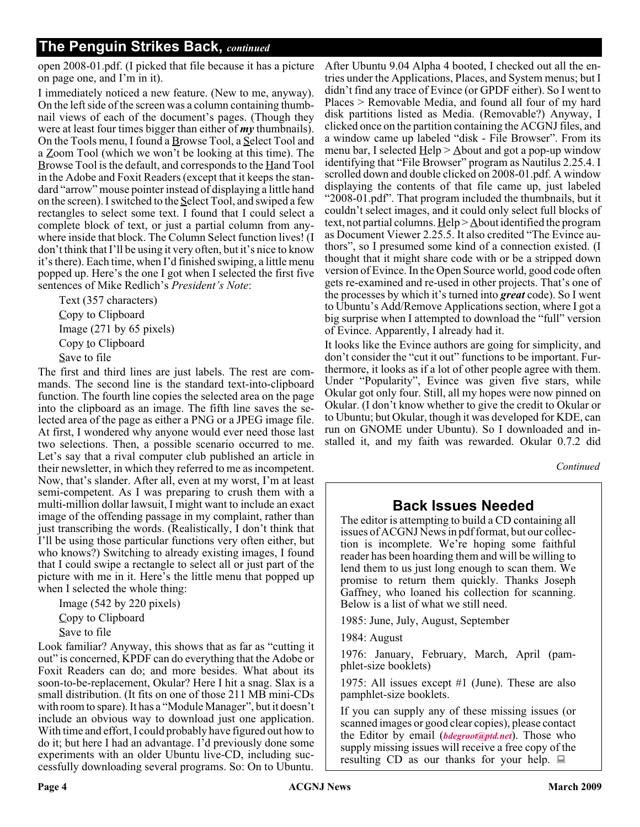### **The Penguin Strikes Back,** *continued*

open 2008-01.pdf. (I picked that file because it has a picture on page one, and I'm in it).

I immediately noticed a new feature. (New to me, anyway). On the left side of the screen was a column containing thumbnail views of each of the document's pages. (Though they were at least four times bigger than either of *my* thumbnails). On the Tools menu, I found a  $\underline{B}$ rowse Tool, a  $\underline{S}$ elect Tool and a Zoom Tool (which we won't be looking at this time). The Browse Tool is the default, and corresponds to the Hand Tool in the Adobe and Foxit Readers (except that it keeps the standard "arrow" mouse pointer instead of displaying a little hand on the screen). I switched to the Select Tool, and swiped a few rectangles to select some text. I found that I could select a complete block of text, or just a partial column from anywhere inside that block. The Column Select function lives! (I don't think that I'll be using it very often, but it's nice to know it's there). Each time, when I'd finished swiping, a little menu popped up. Here's the one I got when I selected the first five sentences of Mike Redlich's *President's Note*:

Text (357 characters) Copy to Clipboard Image (271 by 65 pixels) Copy to Clipboard Save to file

The first and third lines are just labels. The rest are commands. The second line is the standard text-into-clipboard function. The fourth line copies the selected area on the page into the clipboard as an image. The fifth line saves the selected area of the page as either a PNG or a JPEG image file. At first, I wondered why anyone would ever need those last two selections. Then, a possible scenario occurred to me. Let's say that a rival computer club published an article in their newsletter, in which they referred to me as incompetent. Now, that's slander. After all, even at my worst, I'm at least semi-competent. As I was preparing to crush them with a multi-million dollar lawsuit, I might want to include an exact image of the offending passage in my complaint, rather than just transcribing the words. (Realistically, I don't think that I'll be using those particular functions very often either, but who knows?) Switching to already existing images, I found that I could swipe a rectangle to select all or just part of the picture with me in it. Here's the little menu that popped up when I selected the whole thing:

Image (542 by 220 pixels) Copy to Clipboard Save to file

Look familiar? Anyway, this shows that as far as "cutting it out" is concerned, KPDF can do everything that the Adobe or Foxit Readers can do; and more besides. What about its soon-to-be-replacement, Okular? Here I hit a snag. Slax is a small distribution. (It fits on one of those 211 MB mini-CDs with room to spare). It has a "Module Manager", but it doesn't include an obvious way to download just one application. With time and effort, I could probably have figured out how to do it; but here I had an advantage. I'd previously done some experiments with an older Ubuntu live-CD, including successfully downloading several programs. So: On to Ubuntu.

After Ubuntu 9.04 Alpha 4 booted, I checked out all the entries under the Applications, Places, and System menus; but I didn't find any trace of Evince (or GPDF either). So I went to Places > Removable Media, and found all four of my hard disk partitions listed as Media. (Removable?) Anyway, I clicked once on the partition containing the ACGNJ files, and a window came up labeled "disk - File Browser". From its menu bar, I selected  $\text{He} \geq \text{About}$  and got a pop-up window identifying that "File Browser" program as Nautilus 2.25.4. I scrolled down and double clicked on 2008-01.pdf. A window displaying the contents of that file came up, just labeled "2008-01.pdf". That program included the thumbnails, but it couldn't select images, and it could only select full blocks of text, not partial columns. Help > About identified the program as Document Viewer 2.25.5. It also credited "The Evince authors", so I presumed some kind of a connection existed. (I thought that it might share code with or be a stripped down version of Evince. In the Open Source world, good code often gets re-examined and re-used in other projects. That's one of the processes by which it's turned into *great* code). So I went to Ubuntu's Add/Remove Applications section, where I got a big surprise when I attempted to download the "full" version of Evince. Apparently, I already had it.

It looks like the Evince authors are going for simplicity, and don't consider the "cut it out" functions to be important. Furthermore, it looks as if a lot of other people agree with them. Under "Popularity", Evince was given five stars, while Okular got only four. Still, all my hopes were now pinned on Okular. (I don't know whether to give the credit to Okular or to Ubuntu; but Okular, though it was developed for KDE, can run on GNOME under Ubuntu). So I downloaded and installed it, and my faith was rewarded. Okular 0.7.2 did

*Continued*

#### **Back Issues Needed**

The editor is attempting to build a CD containing all issues of ACGNJ News in pdf format, but our collection is incomplete. We're hoping some faithful reader has been hoarding them and will be willing to lend them to us just long enough to scan them. We promise to return them quickly. Thanks Joseph Gaffney, who loaned his collection for scanning. Below is a list of what we still need.

1985: June, July, August, September

1984: August

1976: January, February, March, April (pamphlet-size booklets)

1975: All issues except #1 (June). These are also pamphlet-size booklets.

If you can supply any of these missing issues (or scanned images or good clear copies), please contact the Editor by email (*[bdegroot@ptd.net](mailto:bdegroot@ptd.net)*). Those who supply missing issues will receive a free copy of the resulting CD as our thanks for your help.  $\Box$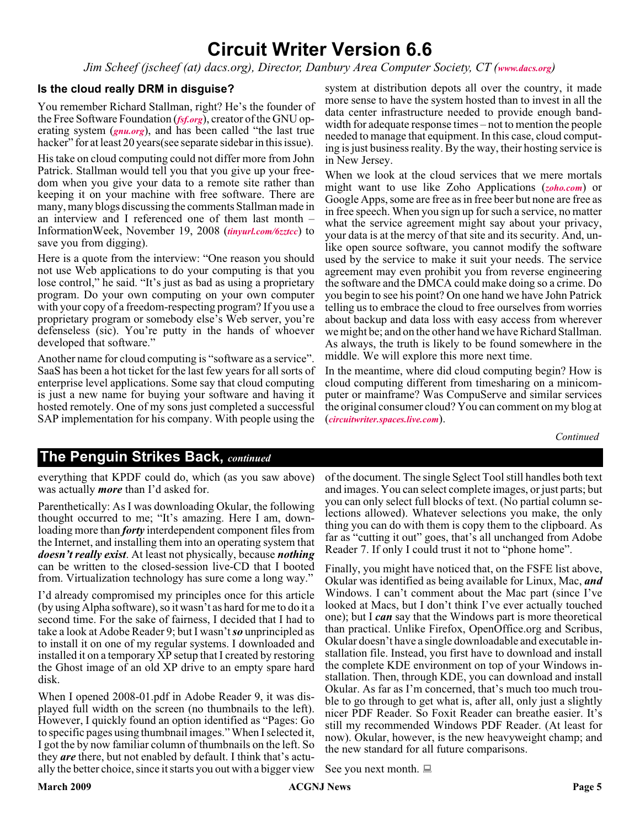# **Circuit Writer Version 6.6**

*Jim Scheef (jscheef (at) dacs.org), Director, Danbury Area Computer Society, CT ([www.dacs.org](http://www.dacs.org))*

#### **Is the cloud really DRM in disguise?**

You remember Richard Stallman, right? He's the founder of the Free Software Foundation (*[fsf.org](http://fsf.org)*), creator of the GNU operating system (*[gnu.org](http://gnu.org)*), and has been called "the last true hacker" for at least 20 years (see separate sidebar in this issue).

His take on cloud computing could not differ more from John Patrick. Stallman would tell you that you give up your freedom when you give your data to a remote site rather than keeping it on your machine with free software. There are many, many blogs discussing the comments Stallman made in an interview and I referenced one of them last month – InformationWeek, November 19, 2008 (*[tinyurl.com/6zztcc](http://tinyurl.com/6zztcc)*) to save you from digging).

Here is a quote from the interview: "One reason you should not use Web applications to do your computing is that you lose control," he said. "It's just as bad as using a proprietary program. Do your own computing on your own computer with your copy of a freedom-respecting program? If you use a proprietary program or somebody else's Web server, you're defenseless (sic). You're putty in the hands of whoever developed that software."

Another name for cloud computing is "software as a service". SaaS has been a hot ticket for the last few years for all sorts of enterprise level applications. Some say that cloud computing is just a new name for buying your software and having it hosted remotely. One of my sons just completed a successful SAP implementation for his company. With people using the

system at distribution depots all over the country, it made more sense to have the system hosted than to invest in all the data center infrastructure needed to provide enough bandwidth for adequate response times – not to mention the people needed to manage that equipment. In this case, cloud computing is just business reality. By the way, their hosting service is in New Jersey.

When we look at the cloud services that we mere mortals might want to use like Zoho Applications (*[zoho.com](http://zoho.com)*) or Google Apps, some are free as in free beer but none are free as in free speech. When you sign up for such a service, no matter what the service agreement might say about your privacy, your data is at the mercy of that site and its security. And, unlike open source software, you cannot modify the software used by the service to make it suit your needs. The service agreement may even prohibit you from reverse engineering the software and the DMCA could make doing so a crime. Do you begin to see his point? On one hand we have John Patrick telling us to embrace the cloud to free ourselves from worries about backup and data loss with easy access from wherever we might be; and on the other hand we have Richard Stallman. As always, the truth is likely to be found somewhere in the middle. We will explore this more next time.

In the meantime, where did cloud computing begin? How is cloud computing different from timesharing on a minicomputer or mainframe? Was CompuServe and similar services the original consumer cloud? You can comment on my blog at (*[circuitwriter.spaces.live.com](http://circuitwriter.spaces.live.com)*).

*Continued*

#### **The Penguin Strikes Back,** *continued*

everything that KPDF could do, which (as you saw above) was actually *more* than I'd asked for.

Parenthetically: As I was downloading Okular, the following thought occurred to me; "It's amazing. Here I am, downloading more than *forty* interdependent component files from the Internet, and installing them into an operating system that *doesn't really exist*. At least not physically, because *nothing* can be written to the closed-session live-CD that I booted from. Virtualization technology has sure come a long way."

I'd already compromised my principles once for this article (by using Alpha software), so it wasn't as hard for me to do it a second time. For the sake of fairness, I decided that I had to take a look at Adobe Reader 9; but I wasn't*so* unprincipled as to install it on one of my regular systems. I downloaded and installed it on a temporary XP setup that I created by restoring the Ghost image of an old XP drive to an empty spare hard disk.

When I opened 2008-01.pdf in Adobe Reader 9, it was displayed full width on the screen (no thumbnails to the left). However, I quickly found an option identified as "Pages: Go to specific pages using thumbnail images." When I selected it, I got the by now familiar column of thumbnails on the left. So they *are* there, but not enabled by default. I think that's actually the better choice, since it starts you out with a bigger view

of the document. The single Select Tool still handles both text and images. You can select complete images, or just parts; but you can only select full blocks of text. (No partial column selections allowed). Whatever selections you make, the only thing you can do with them is copy them to the clipboard. As far as "cutting it out" goes, that's all unchanged from Adobe Reader 7. If only I could trust it not to "phone home".

Finally, you might have noticed that, on the FSFE list above, Okular was identified as being available for Linux, Mac, *and* Windows. I can't comment about the Mac part (since I've looked at Macs, but I don't think I've ever actually touched one); but I *can* say that the Windows part is more theoretical than practical. Unlike Firefox, OpenOffice.org and Scribus, Okular doesn't have a single downloadable and executable installation file. Instead, you first have to download and install the complete KDE environment on top of your Windows installation. Then, through KDE, you can download and install Okular. As far as I'm concerned, that's much too much trouble to go through to get what is, after all, only just a slightly nicer PDF Reader. So Foxit Reader can breathe easier. It's still my recommended Windows PDF Reader. (At least for now). Okular, however, is the new heavyweight champ; and the new standard for all future comparisons.

See you next month.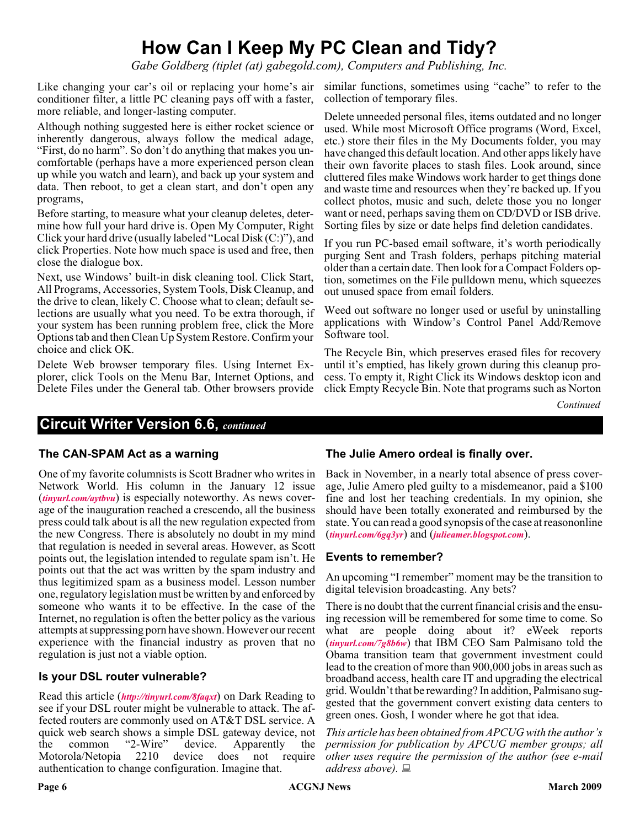# **How Can I Keep My PC Clean and Tidy?**

*Gabe Goldberg (tiplet (at) gabegold.com), Computers and Publishing, Inc.*

Like changing your car's oil or replacing your home's air similar functions, sometimes using "cache" to refer to the conditioner filter, a little PC cleaning pays off with a faster, more reliable, and longer-lasting computer.

Although nothing suggested here is either rocket science or inherently dangerous, always follow the medical adage, "First, do no harm". So don't do anything that makes you uncomfortable (perhaps have a more experienced person clean up while you watch and learn), and back up your system and data. Then reboot, to get a clean start, and don't open any programs,

Before starting, to measure what your cleanup deletes, determine how full your hard drive is. Open My Computer, Right Click your hard drive (usually labeled "Local Disk (C:)"), and click Properties. Note how much space is used and free, then close the dialogue box.

Next, use Windows' built-in disk cleaning tool. Click Start, All Programs, Accessories, System Tools, Disk Cleanup, and the drive to clean, likely C. Choose what to clean; default selections are usually what you need. To be extra thorough, if your system has been running problem free, click the More Options tab and then Clean Up System Restore. Confirm your choice and click OK.

Delete Web browser temporary files. Using Internet Explorer, click Tools on the Menu Bar, Internet Options, and Delete Files under the General tab. Other browsers provide collection of temporary files.

Delete unneeded personal files, items outdated and no longer used. While most Microsoft Office programs (Word, Excel, etc.) store their files in the My Documents folder, you may have changed this default location. And other apps likely have their own favorite places to stash files. Look around, since cluttered files make Windows work harder to get things done and waste time and resources when they're backed up. If you collect photos, music and such, delete those you no longer want or need, perhaps saving them on CD/DVD or ISB drive. Sorting files by size or date helps find deletion candidates.

If you run PC-based email software, it's worth periodically purging Sent and Trash folders, perhaps pitching material older than a certain date. Then look for a Compact Folders option, sometimes on the File pulldown menu, which squeezes out unused space from email folders.

Weed out software no longer used or useful by uninstalling applications with Window's Control Panel Add/Remove Software tool.

The Recycle Bin, which preserves erased files for recovery until it's emptied, has likely grown during this cleanup process. To empty it, Right Click its Windows desktop icon and click Empty Recycle Bin. Note that programs such as Norton

*Continued*

#### **Circuit Writer Version 6.6,** *continued*

#### **The CAN-SPAM Act as a warning**

One of my favorite columnists is Scott Bradner who writes in Network World. His column in the January 12 issue (*[tinyurl.com/aytbvu](http://tinyurl.com/aytbvu)*) is especially noteworthy. As news coverage of the inauguration reached a crescendo, all the business press could talk about is all the new regulation expected from the new Congress. There is absolutely no doubt in my mind that regulation is needed in several areas. However, as Scott points out, the legislation intended to regulate spam isn't. He points out that the act was written by the spam industry and thus legitimized spam as a business model. Lesson number one, regulatory legislation must be written by and enforced by someone who wants it to be effective. In the case of the Internet, no regulation is often the better policy as the various attempts at suppressing porn have shown. However our recent experience with the financial industry as proven that no regulation is just not a viable option.

#### **Is your DSL router vulnerable?**

Read this article (*<http://tinyurl.com/8faqxt>*) on Dark Reading to see if your DSL router might be vulnerable to attack. The affected routers are commonly used on AT&T DSL service. A quick web search shows a simple DSL gateway device, not the common "2-Wire" device. Apparently the<br>Motorola/Netopia 2210 device does not require Motorola/Netopia 2210 device does not require authentication to change configuration. Imagine that.

#### **The Julie Amero ordeal is finally over.**

Back in November, in a nearly total absence of press coverage, Julie Amero pled guilty to a misdemeanor, paid a \$100 fine and lost her teaching credentials. In my opinion, she should have been totally exonerated and reimbursed by the state. You can read a good synopsis of the case at reasononline (*[tinyurl.com/6gq3yr](http://tinyurl.com/6gq3yr)*) and (*[julieamer.blogspot.com](http://julieamer.blogspot.com)*).

#### **Events to remember?**

An upcoming "I remember" moment may be the transition to digital television broadcasting. Any bets?

There is no doubt that the current financial crisis and the ensuing recession will be remembered for some time to come. So what are people doing about it? eWeek reports (*[tinyurl.com/7g8b6w](http://tinyurl.com/7g8b6w)*) that IBM CEO Sam Palmisano told the Obama transition team that government investment could lead to the creation of more than 900,000 jobs in areas such as broadband access, health care IT and upgrading the electrical grid. Wouldn't that be rewarding? In addition, Palmisano suggested that the government convert existing data centers to green ones. Gosh, I wonder where he got that idea.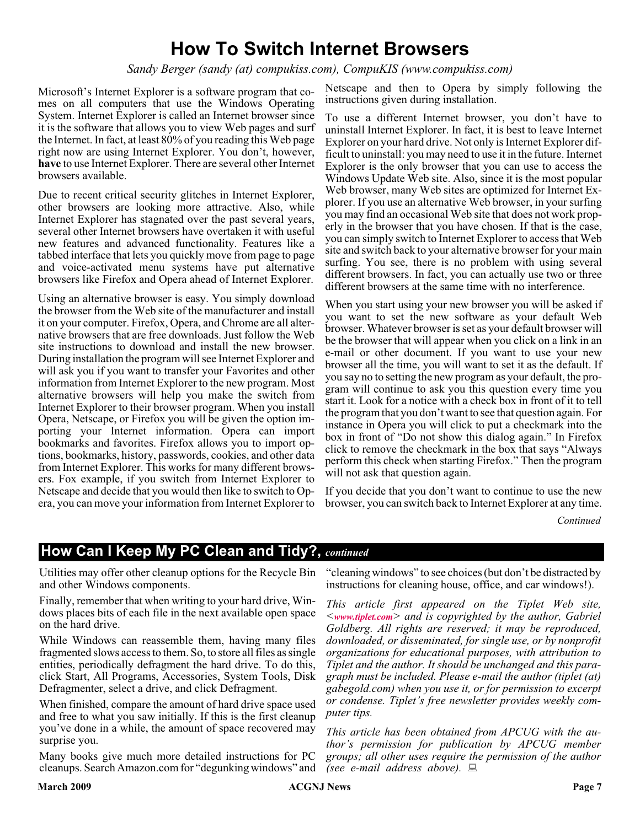# **How To Switch Internet Browsers**

*Sandy Berger (sandy (at) compukiss.com), CompuKIS (www.compukiss.com)*

Microsoft's Internet Explorer is a software program that comes on all computers that use the Windows Operating System. Internet Explorer is called an Internet browser since it is the software that allows you to view Web pages and surf the Internet. In fact, at least 80% of you reading this Web page right now are using Internet Explorer. You don't, however, **have** to use Internet Explorer. There are several other Internet browsers available.

Due to recent critical security glitches in Internet Explorer, other browsers are looking more attractive. Also, while Internet Explorer has stagnated over the past several years, several other Internet browsers have overtaken it with useful new features and advanced functionality. Features like a tabbed interface that lets you quickly move from page to page and voice-activated menu systems have put alternative browsers like Firefox and Opera ahead of Internet Explorer.

Using an alternative browser is easy. You simply download the browser from the Web site of the manufacturer and install it on your computer. Firefox, Opera, and Chrome are all alternative browsers that are free downloads. Just follow the Web site instructions to download and install the new browser. During installation the program will see Internet Explorer and will ask you if you want to transfer your Favorites and other information from Internet Explorer to the new program. Most alternative browsers will help you make the switch from Internet Explorer to their browser program. When you install Opera, Netscape, or Firefox you will be given the option importing your Internet information. Opera can import bookmarks and favorites. Firefox allows you to import options, bookmarks, history, passwords, cookies, and other data from Internet Explorer. This works for many different browsers. Fox example, if you switch from Internet Explorer to Netscape and decide that you would then like to switch to Opera, you can move your information from Internet Explorer to

Netscape and then to Opera by simply following the instructions given during installation.

To use a different Internet browser, you don't have to uninstall Internet Explorer. In fact, it is best to leave Internet Explorer on your hard drive. Not only is Internet Explorer difficult to uninstall: you may need to use it in the future. Internet Explorer is the only browser that you can use to access the Windows Update Web site. Also, since it is the most popular Web browser, many Web sites are optimized for Internet Explorer. If you use an alternative Web browser, in your surfing you may find an occasional Web site that does not work properly in the browser that you have chosen. If that is the case, you can simply switch to Internet Explorer to access that Web site and switch back to your alternative browser for your main surfing. You see, there is no problem with using several different browsers. In fact, you can actually use two or three different browsers at the same time with no interference.

When you start using your new browser you will be asked if you want to set the new software as your default Web browser. Whatever browser is set as your default browser will be the browser that will appear when you click on a link in an e-mail or other document. If you want to use your new browser all the time, you will want to set it as the default. If you say no to setting the new program as your default, the program will continue to ask you this question every time you start it. Look for a notice with a check box in front of it to tell the program that you don't want to see that question again. For instance in Opera you will click to put a checkmark into the box in front of "Do not show this dialog again." In Firefox click to remove the checkmark in the box that says "Always perform this check when starting Firefox." Then the program will not ask that question again.

If you decide that you don't want to continue to use the new browser, you can switch back to Internet Explorer at any time.

*Continued*

#### **How Can I Keep My PC Clean and Tidy?,** *continued*

Utilities may offer other cleanup options for the Recycle Bin and other Windows components.

Finally, remember that when writing to your hard drive, Windows places bits of each file in the next available open space on the hard drive.

While Windows can reassemble them, having many files fragmented slows access to them. So, to store all files as single entities, periodically defragment the hard drive. To do this, click Start, All Programs, Accessories, System Tools, Disk Defragmenter, select a drive, and click Defragment.

When finished, compare the amount of hard drive space used and free to what you saw initially. If this is the first cleanup you've done in a while, the amount of space recovered may surprise you.

Many books give much more detailed instructions for PC cleanups. Search Amazon.com for "degunking windows" and

"cleaning windows" to see choices (but don't be distracted by instructions for cleaning house, office, and car windows!).

*This article first appeared on the Tiplet Web site, <[www.tiplet.com](http://www.tiplet.com)> and is copyrighted by the author, Gabriel Goldberg. All rights are reserved; it may be reproduced, downloaded, or disseminated, for single use, or by nonprofit organizations for educational purposes, with attribution to Tiplet and the author. It should be unchanged and this paragraph must be included. Please e-mail the author (tiplet (at) gabegold.com) when you use it, or for permission to excerpt or condense. Tiplet's free newsletter provides weekly computer tips.*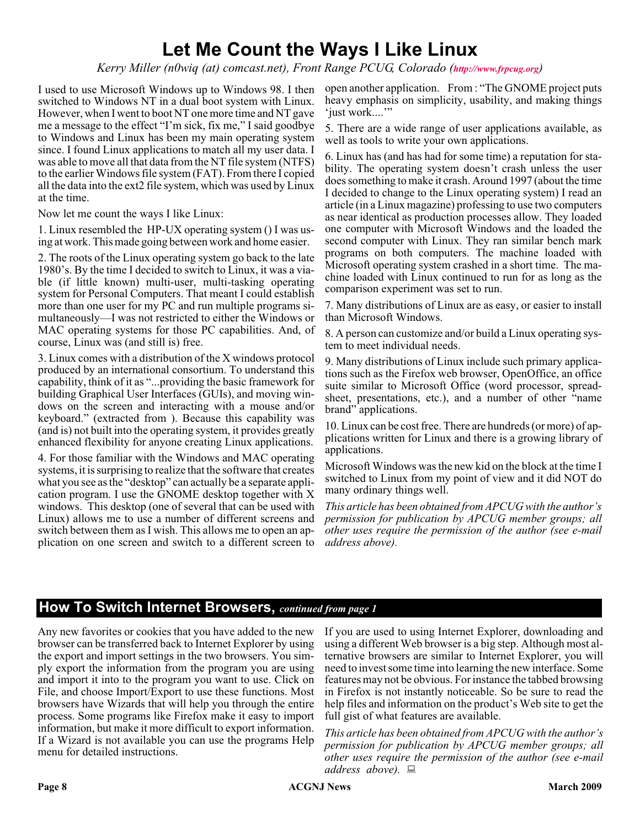# **Let Me Count the Ways I Like Linux**

*Kerry Miller (n0wiq (at) comcast.net), Front Range PCUG, Colorado (<http://www.frpcug.org>)*

I used to use Microsoft Windows up to Windows 98. I then switched to Windows NT in a dual boot system with Linux. However, when I went to boot NT one more time and NT gave me a message to the effect "I'm sick, fix me," I said goodbye to Windows and Linux has been my main operating system since. I found Linux applications to match all my user data. I was able to move all that data from the NT file system (NTFS) to the earlier Windows file system (FAT). From there I copied all the data into the ext2 file system, which was used by Linux at the time.

Now let me count the ways I like Linux:

1. Linux resembled the HP-UX operating system () I was using at work. This made going between work and home easier.

2. The roots of the Linux operating system go back to the late 1980's. By the time I decided to switch to Linux, it was a viable (if little known) multi-user, multi-tasking operating system for Personal Computers. That meant I could establish more than one user for my PC and run multiple programs simultaneously—I was not restricted to either the Windows or MAC operating systems for those PC capabilities. And, of course, Linux was (and still is) free.

3. Linux comes with a distribution of the X windows protocol produced by an international consortium. To understand this capability, think of it as "...providing the basic framework for building Graphical User Interfaces (GUIs), and moving windows on the screen and interacting with a mouse and/or keyboard." (extracted from ). Because this capability was (and is) not built into the operating system, it provides greatly enhanced flexibility for anyone creating Linux applications.

4. For those familiar with the Windows and MAC operating systems, it is surprising to realize that the software that creates what you see as the "desktop" can actually be a separate application program. I use the GNOME desktop together with X windows. This desktop (one of several that can be used with Linux) allows me to use a number of different screens and switch between them as I wish. This allows me to open an application on one screen and switch to a different screen to

open another application. From : "The GNOME project puts heavy emphasis on simplicity, usability, and making things 'just work...."

5. There are a wide range of user applications available, as well as tools to write your own applications.

6. Linux has (and has had for some time) a reputation for stability. The operating system doesn't crash unless the user does something to make it crash. Around 1997 (about the time I decided to change to the Linux operating system) I read an article (in a Linux magazine) professing to use two computers as near identical as production processes allow. They loaded one computer with Microsoft Windows and the loaded the second computer with Linux. They ran similar bench mark programs on both computers. The machine loaded with Microsoft operating system crashed in a short time. The machine loaded with Linux continued to run for as long as the comparison experiment was set to run.

7. Many distributions of Linux are as easy, or easier to install than Microsoft Windows.

8. A person can customize and/or build a Linux operating system to meet individual needs.

9. Many distributions of Linux include such primary applications such as the Firefox web browser, OpenOffice, an office suite similar to Microsoft Office (word processor, spreadsheet, presentations, etc.), and a number of other "name brand" applications.

10. Linux can be cost free. There are hundreds (or more) of applications written for Linux and there is a growing library of applications.

Microsoft Windows was the new kid on the block at the time I switched to Linux from my point of view and it did NOT do many ordinary things well.

*This article has been obtained from APCUG with the author's permission for publication by APCUG member groups; all other uses require the permission of the author (see e-mail address above).*

## **How To Switch Internet Browsers,** *continued from page 1*

Any new favorites or cookies that you have added to the new browser can be transferred back to Internet Explorer by using the export and import settings in the two browsers. You simply export the information from the program you are using and import it into to the program you want to use. Click on File, and choose Import/Export to use these functions. Most browsers have Wizards that will help you through the entire process. Some programs like Firefox make it easy to import information, but make it more difficult to export information. If a Wizard is not available you can use the programs Help menu for detailed instructions.

If you are used to using Internet Explorer, downloading and using a different Web browser is a big step. Although most alternative browsers are similar to Internet Explorer, you will need to invest some time into learning the new interface. Some features may not be obvious. For instance the tabbed browsing in Firefox is not instantly noticeable. So be sure to read the help files and information on the product's Web site to get the full gist of what features are available.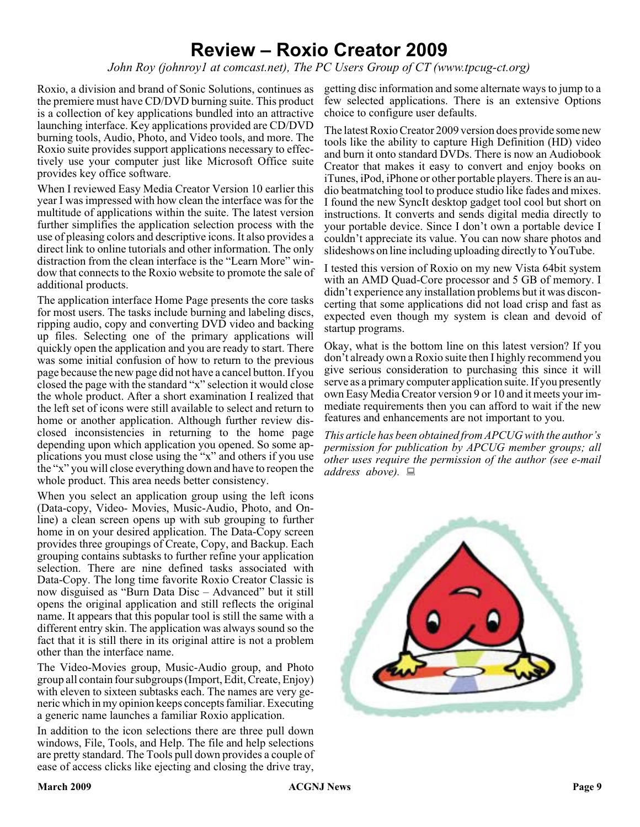# **Review – Roxio Creator 2009**

*John Roy (johnroy1 at comcast.net), The PC Users Group of CT (www.tpcug-ct.org)*

Roxio, a division and brand of Sonic Solutions, continues as the premiere must have CD/DVD burning suite. This product is a collection of key applications bundled into an attractive launching interface. Key applications provided are CD/DVD burning tools, Audio, Photo, and Video tools, and more. The Roxio suite provides support applications necessary to effectively use your computer just like Microsoft Office suite provides key office software.

When I reviewed Easy Media Creator Version 10 earlier this year I was impressed with how clean the interface was for the multitude of applications within the suite. The latest version further simplifies the application selection process with the use of pleasing colors and descriptive icons. It also provides a direct link to online tutorials and other information. The only distraction from the clean interface is the "Learn More" window that connects to the Roxio website to promote the sale of additional products.

The application interface Home Page presents the core tasks for most users. The tasks include burning and labeling discs, ripping audio, copy and converting DVD video and backing up files. Selecting one of the primary applications will quickly open the application and you are ready to start. There was some initial confusion of how to return to the previous page because the new page did not have a cancel button. If you closed the page with the standard "x" selection it would close the whole product. After a short examination I realized that the left set of icons were still available to select and return to home or another application. Although further review disclosed inconsistencies in returning to the home page depending upon which application you opened. So some applications you must close using the "x" and others if you use the "x" you will close everything down and have to reopen the whole product. This area needs better consistency.

When you select an application group using the left icons (Data-copy, Video- Movies, Music-Audio, Photo, and Online) a clean screen opens up with sub grouping to further home in on your desired application. The Data-Copy screen provides three groupings of Create, Copy, and Backup. Each grouping contains subtasks to further refine your application selection. There are nine defined tasks associated with Data-Copy. The long time favorite Roxio Creator Classic is now disguised as "Burn Data Disc – Advanced" but it still opens the original application and still reflects the original name. It appears that this popular tool is still the same with a different entry skin. The application was always sound so the fact that it is still there in its original attire is not a problem other than the interface name.

The Video-Movies group, Music-Audio group, and Photo group all contain four subgroups (Import, Edit, Create, Enjoy) with eleven to sixteen subtasks each. The names are very generic which in my opinion keeps concepts familiar. Executing a generic name launches a familiar Roxio application.

In addition to the icon selections there are three pull down windows, File, Tools, and Help. The file and help selections are pretty standard. The Tools pull down provides a couple of ease of access clicks like ejecting and closing the drive tray,

getting disc information and some alternate ways to jump to a few selected applications. There is an extensive Options choice to configure user defaults.

The latest Roxio Creator 2009 version does provide some new tools like the ability to capture High Definition (HD) video and burn it onto standard DVDs. There is now an Audiobook Creator that makes it easy to convert and enjoy books on iTunes, iPod, iPhone or other portable players. There is an audio beatmatching tool to produce studio like fades and mixes. I found the new SyncIt desktop gadget tool cool but short on instructions. It converts and sends digital media directly to your portable device. Since I don't own a portable device I couldn't appreciate its value. You can now share photos and slideshows on line including uploading directly to YouTube.

I tested this version of Roxio on my new Vista 64bit system with an AMD Quad-Core processor and 5 GB of memory. I didn't experience any installation problems but it was disconcerting that some applications did not load crisp and fast as expected even though my system is clean and devoid of startup programs.

Okay, what is the bottom line on this latest version? If you don't already own a Roxio suite then I highly recommend you give serious consideration to purchasing this since it will serve as a primary computer application suite. If you presently own Easy Media Creator version 9 or 10 and it meets your immediate requirements then you can afford to wait if the new features and enhancements are not important to you.

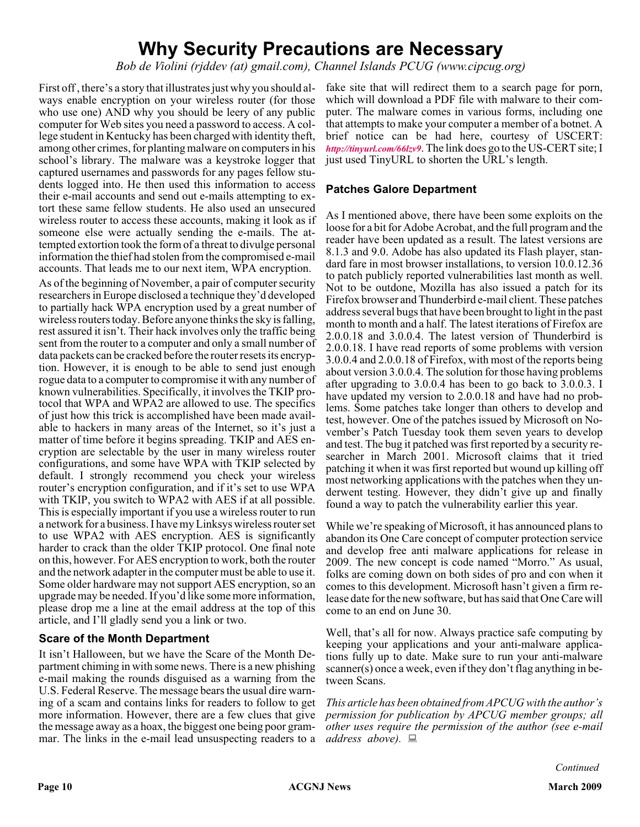# **Why Security Precautions are Necessary**

*Bob de Violini (rjddev (at) gmail.com), Channel Islands PCUG (www.cipcug.org)*

First off , there's a story that illustrates just why you should always enable encryption on your wireless router (for those who use one) AND why you should be leery of any public computer for Web sites you need a password to access. A college student in Kentucky has been charged with identity theft, among other crimes, for planting malware on computers in his school's library. The malware was a keystroke logger that captured usernames and passwords for any pages fellow students logged into. He then used this information to access their e-mail accounts and send out e-mails attempting to extort these same fellow students. He also used an unsecured wireless router to access these accounts, making it look as if someone else were actually sending the e-mails. The attempted extortion took the form of a threat to divulge personal information the thief had stolen from the compromised e-mail accounts. That leads me to our next item, WPA encryption.

As of the beginning of November, a pair of computer security researchers in Europe disclosed a technique they'd developed to partially hack WPA encryption used by a great number of wireless routers today. Before anyone thinks the sky is falling, rest assured it isn't. Their hack involves only the traffic being sent from the router to a computer and only a small number of data packets can be cracked before the router resets its encryption. However, it is enough to be able to send just enough rogue data to a computer to compromise it with any number of known vulnerabilities. Specifically, it involves the TKIP protocol that WPA and WPA2 are allowed to use. The specifics of just how this trick is accomplished have been made available to hackers in many areas of the Internet, so it's just a matter of time before it begins spreading. TKIP and AES encryption are selectable by the user in many wireless router configurations, and some have WPA with TKIP selected by default. I strongly recommend you check your wireless router's encryption configuration, and if it's set to use WPA with TKIP, you switch to WPA2 with AES if at all possible. This is especially important if you use a wireless router to run a network for a business. I have my Linksys wireless router set to use WPA2 with AES encryption. AES is significantly harder to crack than the older TKIP protocol. One final note on this, however. For AES encryption to work, both the router and the network adapter in the computer must be able to use it. Some older hardware may not support AES encryption, so an upgrade may be needed. If you'd like some more information, please drop me a line at the email address at the top of this article, and I'll gladly send you a link or two.

#### **Scare of the Month Department**

It isn't Halloween, but we have the Scare of the Month Department chiming in with some news. There is a new phishing e-mail making the rounds disguised as a warning from the U.S. Federal Reserve. The message bears the usual dire warning of a scam and contains links for readers to follow to get more information. However, there are a few clues that give the message away as a hoax, the biggest one being poor grammar. The links in the e-mail lead unsuspecting readers to a

fake site that will redirect them to a search page for porn, which will download a PDF file with malware to their computer. The malware comes in various forms, including one that attempts to make your computer a member of a botnet. A brief notice can be had here, courtesy of USCERT: *<http://tinyurl.com/66lzv9>*. The link does go to the US-CERT site; I just used TinyURL to shorten the URL's length.

#### **Patches Galore Department**

As I mentioned above, there have been some exploits on the loose for a bit for Adobe Acrobat, and the full program and the reader have been updated as a result. The latest versions are 8.1.3 and 9.0. Adobe has also updated its Flash player, standard fare in most browser installations, to version 10.0.12.36 to patch publicly reported vulnerabilities last month as well. Not to be outdone, Mozilla has also issued a patch for its Firefox browser and Thunderbird e-mail client. These patches address several bugs that have been brought to light in the past month to month and a half. The latest iterations of Firefox are 2.0.0.18 and 3.0.0.4. The latest version of Thunderbird is 2.0.0.18. I have read reports of some problems with version 3.0.0.4 and 2.0.0.18 of Firefox, with most of the reports being about version 3.0.0.4. The solution for those having problems after upgrading to 3.0.0.4 has been to go back to 3.0.0.3. I have updated my version to 2.0.0.18 and have had no problems. Some patches take longer than others to develop and test, however. One of the patches issued by Microsoft on November's Patch Tuesday took them seven years to develop and test. The bug it patched was first reported by a security researcher in March 2001. Microsoft claims that it tried patching it when it was first reported but wound up killing off most networking applications with the patches when they underwent testing. However, they didn't give up and finally found a way to patch the vulnerability earlier this year.

While we're speaking of Microsoft, it has announced plans to abandon its One Care concept of computer protection service and develop free anti malware applications for release in 2009. The new concept is code named "Morro." As usual, folks are coming down on both sides of pro and con when it comes to this development. Microsoft hasn't given a firm release date for the new software, but has said that One Care will come to an end on June 30.

Well, that's all for now. Always practice safe computing by keeping your applications and your anti-malware applications fully up to date. Make sure to run your anti-malware scanner(s) once a week, even if they don't flag anything in between Scans.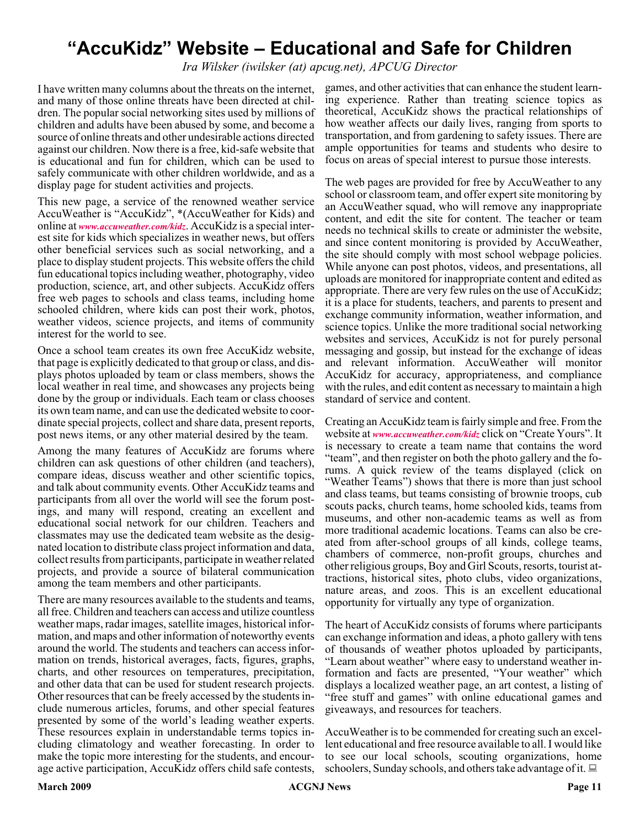# **"AccuKidz" Website – Educational and Safe for Children**

*Ira Wilsker (iwilsker (at) apcug.net), APCUG Director*

I have written many columns about the threats on the internet, and many of those online threats have been directed at children. The popular social networking sites used by millions of children and adults have been abused by some, and become a source of online threats and other undesirable actions directed against our children. Now there is a free, kid-safe website that is educational and fun for children, which can be used to safely communicate with other children worldwide, and as a display page for student activities and projects.

This new page, a service of the renowned weather service AccuWeather is "AccuKidz", \*(AccuWeather for Kids) and online at *[www.accuweather.com/kidz](http://www.accuweather.com/kidz)*. AccuKidz is a special interest site for kids which specializes in weather news, but offers other beneficial services such as social networking, and a place to display student projects. This website offers the child fun educational topics including weather, photography, video production, science, art, and other subjects. AccuKidz offers free web pages to schools and class teams, including home schooled children, where kids can post their work, photos, weather videos, science projects, and items of community interest for the world to see.

Once a school team creates its own free AccuKidz website, that page is explicitly dedicated to that group or class, and displays photos uploaded by team or class members, shows the local weather in real time, and showcases any projects being done by the group or individuals. Each team or class chooses its own team name, and can use the dedicated website to coordinate special projects, collect and share data, present reports, post news items, or any other material desired by the team.

Among the many features of AccuKidz are forums where children can ask questions of other children (and teachers), compare ideas, discuss weather and other scientific topics, and talk about community events. Other AccuKidz teams and participants from all over the world will see the forum postings, and many will respond, creating an excellent and educational social network for our children. Teachers and classmates may use the dedicated team website as the designated location to distribute class project information and data, collect results from participants, participate in weather related projects, and provide a source of bilateral communication among the team members and other participants.

There are many resources available to the students and teams, all free. Children and teachers can access and utilize countless weather maps, radar images, satellite images, historical information, and maps and other information of noteworthy events around the world. The students and teachers can access information on trends, historical averages, facts, figures, graphs, charts, and other resources on temperatures, precipitation, and other data that can be used for student research projects. Other resources that can be freely accessed by the students include numerous articles, forums, and other special features presented by some of the world's leading weather experts. These resources explain in understandable terms topics including climatology and weather forecasting. In order to make the topic more interesting for the students, and encourage active participation, AccuKidz offers child safe contests, games, and other activities that can enhance the student learning experience. Rather than treating science topics as theoretical, AccuKidz shows the practical relationships of how weather affects our daily lives, ranging from sports to transportation, and from gardening to safety issues. There are ample opportunities for teams and students who desire to focus on areas of special interest to pursue those interests.

The web pages are provided for free by AccuWeather to any school or classroom team, and offer expert site monitoring by an AccuWeather squad, who will remove any inappropriate content, and edit the site for content. The teacher or team needs no technical skills to create or administer the website, and since content monitoring is provided by AccuWeather, the site should comply with most school webpage policies. While anyone can post photos, videos, and presentations, all uploads are monitored for inappropriate content and edited as appropriate. There are very few rules on the use of AccuKidz; it is a place for students, teachers, and parents to present and exchange community information, weather information, and science topics. Unlike the more traditional social networking websites and services, AccuKidz is not for purely personal messaging and gossip, but instead for the exchange of ideas and relevant information. AccuWeather will monitor AccuKidz for accuracy, appropriateness, and compliance with the rules, and edit content as necessary to maintain a high standard of service and content.

Creating an AccuKidz team is fairly simple and free. From the website at *[www.accuweather.com/kidz](http://www.accuweather.com/kidz)* click on "Create Yours". It is necessary to create a team name that contains the word "team", and then register on both the photo gallery and the forums. A quick review of the teams displayed (click on "Weather Teams") shows that there is more than just school and class teams, but teams consisting of brownie troops, cub scouts packs, church teams, home schooled kids, teams from museums, and other non-academic teams as well as from more traditional academic locations. Teams can also be created from after-school groups of all kinds, college teams, chambers of commerce, non-profit groups, churches and other religious groups, Boy and Girl Scouts, resorts, tourist attractions, historical sites, photo clubs, video organizations, nature areas, and zoos. This is an excellent educational opportunity for virtually any type of organization.

The heart of AccuKidz consists of forums where participants can exchange information and ideas, a photo gallery with tens of thousands of weather photos uploaded by participants, "Learn about weather" where easy to understand weather information and facts are presented, "Your weather" which displays a localized weather page, an art contest, a listing of "free stuff and games" with online educational games and giveaways, and resources for teachers.

AccuWeather is to be commended for creating such an excellent educational and free resource available to all. I would like to see our local schools, scouting organizations, home schoolers, Sunday schools, and others take advantage of it.  $\Box$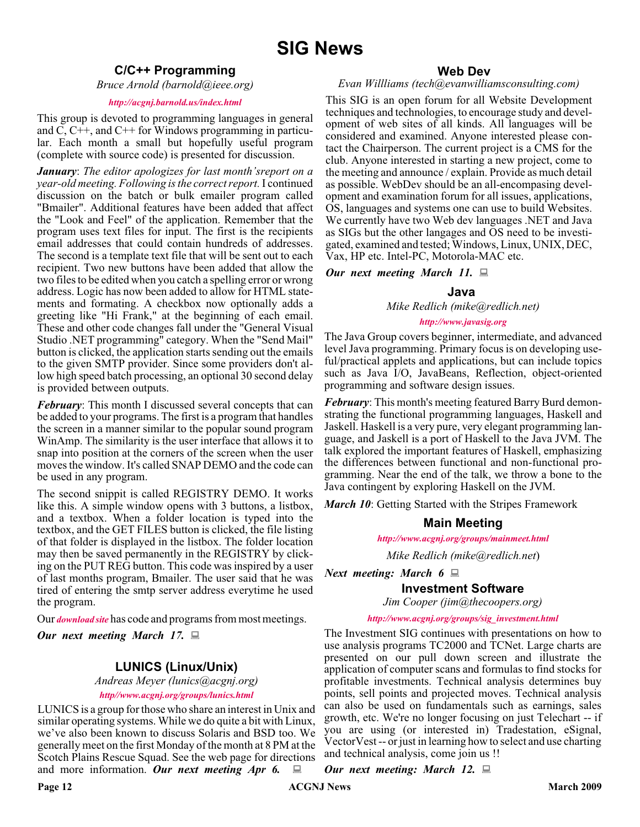#### **C/C++ Programming**

*Bruce Arnold (barnold@ieee.org)*

#### *<http://acgnj.barnold.us/index.html>*

This group is devoted to programming languages in general and C, C++, and C++ for Windows programming in particular. Each month a small but hopefully useful program (complete with source code) is presented for discussion.

*January*: *The editor apologizes for last month'sreport on a year-old meeting. Following is the correct report.*I continued discussion on the batch or bulk emailer program called "Bmailer". Additional features have been added that affect the "Look and Feel" of the application. Remember that the program uses text files for input. The first is the recipients email addresses that could contain hundreds of addresses. The second is a template text file that will be sent out to each recipient. Two new buttons have been added that allow the two files to be edited when you catch a spelling error or wrong address. Logic has now been added to allow for HTML statements and formating. A checkbox now optionally adds a greeting like "Hi Frank," at the beginning of each email. These and other code changes fall under the "General Visual Studio .NET programming" category. When the "Send Mail" button is clicked, the application starts sending out the emails to the given SMTP provider. Since some providers don't allow high speed batch processing, an optional 30 second delay is provided between outputs.

*February*: This month I discussed several concepts that can be added to your programs. The first is a program that handles the screen in a manner similar to the popular sound program WinAmp. The similarity is the user interface that allows it to snap into position at the corners of the screen when the user moves the window. It's called SNAP DEMO and the code can be used in any program.

The second snippit is called REGISTRY DEMO. It works like this. A simple window opens with 3 buttons, a listbox, and a textbox. When a folder location is typed into the textbox, and the GET FILES button is clicked, the file listing of that folder is displayed in the listbox. The folder location may then be saved permanently in the REGISTRY by clicking on the PUT REG button. This code was inspired by a user of last months program, Bmailer. The user said that he was tired of entering the smtp server address everytime he used the program.

Our *[download site](http://acgnj.barnold.us/Source/Index.htm)* has code and programs from most meetings.

*Our next meeting March 17.*

#### **LUNICS (Linux/Unix)**

*Andreas Meyer (lunics@acgnj.org)*

*<http//www.acgnj.org/groups/lunics.html>*

LUNICS is a group for those who share an interest in Unix and similar operating systems. While we do quite a bit with Linux, we've also been known to discuss Solaris and BSD too. We generally meet on the first Monday of the month at 8 PM at the Scotch Plains Rescue Squad. See the web page for directions and more information. Our next meeting Apr 6.

#### **Web Dev**

#### *Evan Willliams (tech@evanwilliamsconsulting.com)*

This SIG is an open forum for all Website Development techniques and technologies, to encourage study and development of web sites of all kinds. All languages will be considered and examined. Anyone interested please contact the Chairperson. The current project is a CMS for the club. Anyone interested in starting a new project, come to the meeting and announce / explain. Provide as much detail as possible. WebDev should be an all-encompasing development and examination forum for all issues, applications, OS, languages and systems one can use to build Websites. We currently have two Web dev languages .NET and Java as SIGs but the other langages and OS need to be investigated, examined and tested; Windows, Linux, UNIX, DEC, Vax, HP etc. Intel-PC, Motorola-MAC etc.

*Our next meeting March 11.*

#### **Java**

*Mike Redlich (mike@redlich.net)*

#### *<http://www.javasig.org>*

The Java Group covers beginner, intermediate, and advanced level Java programming. Primary focus is on developing useful/practical applets and applications, but can include topics such as Java I/O, JavaBeans, Reflection, object-oriented programming and software design issues.

*February*: This month's meeting featured Barry Burd demonstrating the functional programming languages, Haskell and Jaskell. Haskell is a very pure, very elegant programming language, and Jaskell is a port of Haskell to the Java JVM. The talk explored the important features of Haskell, emphasizing the differences between functional and non-functional programming. Near the end of the talk, we throw a bone to the Java contingent by exploring Haskell on the JVM.

*March 10*: Getting Started with the Stripes Framework

#### **Main Meeting**

*<http://www.acgnj.org/groups/mainmeet.html>*

*Mike Redlich (mike@redlich.net*)

*Next meeting: March 6*

**Investment Software**

*Jim Cooper (jim@thecoopers.org)*

*[http://www.acgnj.org/groups/sig\\_investment.html](http://www.acgnj.org/groups/sig_investment.html)*

The Investment SIG continues with presentations on how to use analysis programs TC2000 and TCNet. Large charts are presented on our pull down screen and illustrate the application of computer scans and formulas to find stocks for profitable investments. Technical analysis determines buy points, sell points and projected moves. Technical analysis can also be used on fundamentals such as earnings, sales growth, etc. We're no longer focusing on just Telechart -- if you are using (or interested in) Tradestation, eSignal, VectorVest -- or just in learning how to select and use charting and technical analysis, come join us !!

*Our next meeting: March 12.*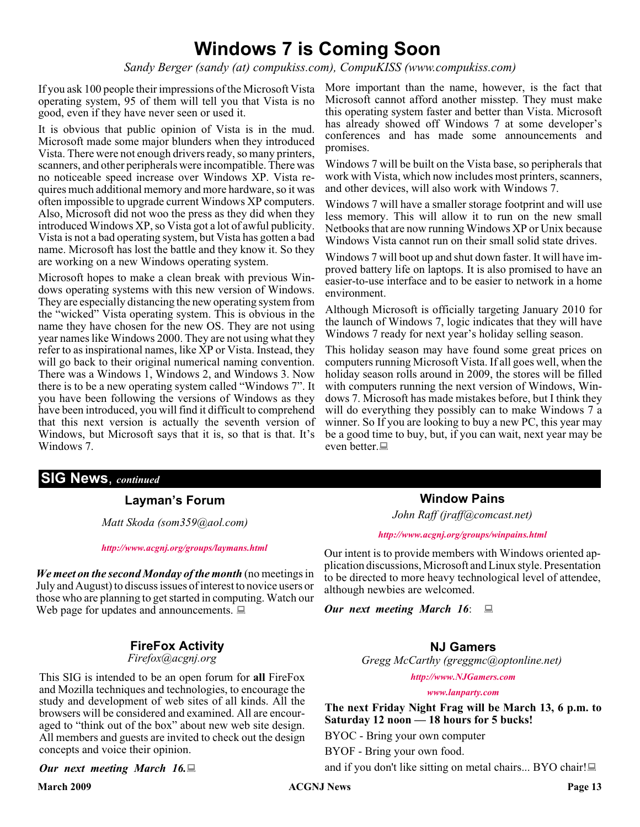# **Windows 7 is Coming Soon**

*Sandy Berger (sandy (at) compukiss.com), CompuKISS (www.compukiss.com)*

If you ask 100 people their impressions of the Microsoft Vista operating system, 95 of them will tell you that Vista is no good, even if they have never seen or used it.

It is obvious that public opinion of Vista is in the mud. Microsoft made some major blunders when they introduced Vista. There were not enough drivers ready, so many printers, scanners, and other peripherals were incompatible. There was no noticeable speed increase over Windows XP. Vista requires much additional memory and more hardware, so it was often impossible to upgrade current Windows XP computers. Also, Microsoft did not woo the press as they did when they introduced Windows XP, so Vista got a lot of awful publicity. Vista is not a bad operating system, but Vista has gotten a bad name. Microsoft has lost the battle and they know it. So they are working on a new Windows operating system.

Microsoft hopes to make a clean break with previous Windows operating systems with this new version of Windows. They are especially distancing the new operating system from the "wicked" Vista operating system. This is obvious in the name they have chosen for the new OS. They are not using year names like Windows 2000. They are not using what they refer to as inspirational names, like XP or Vista. Instead, they will go back to their original numerical naming convention. There was a Windows 1, Windows 2, and Windows 3. Now there is to be a new operating system called "Windows 7". It you have been following the versions of Windows as they have been introduced, you will find it difficult to comprehend that this next version is actually the seventh version of Windows, but Microsoft says that it is, so that is that. It's Windows 7.

More important than the name, however, is the fact that Microsoft cannot afford another misstep. They must make this operating system faster and better than Vista. Microsoft has already showed off Windows 7 at some developer's conferences and has made some announcements and promises.

Windows 7 will be built on the Vista base, so peripherals that work with Vista, which now includes most printers, scanners, and other devices, will also work with Windows 7.

Windows 7 will have a smaller storage footprint and will use less memory. This will allow it to run on the new small Netbooks that are now running Windows XP or Unix because Windows Vista cannot run on their small solid state drives.

Windows 7 will boot up and shut down faster. It will have improved battery life on laptops. It is also promised to have an easier-to-use interface and to be easier to network in a home environment.

Although Microsoft is officially targeting January 2010 for the launch of Windows 7, logic indicates that they will have Windows 7 ready for next year's holiday selling season.

This holiday season may have found some great prices on computers running Microsoft Vista. If all goes well, when the holiday season rolls around in 2009, the stores will be filled with computers running the next version of Windows, Windows 7. Microsoft has made mistakes before, but I think they will do everything they possibly can to make Windows 7 a winner. So If you are looking to buy a new PC, this year may be a good time to buy, but, if you can wait, next year may be even better.

#### **SIG News**, *continued*

#### **Layman's Forum**

*Matt Skoda (som359@aol.com)*

*<http://www.acgnj.org/groups/laymans.html>*

*We meet on the second Monday of the month* (no meetings in July and August) to discuss issues of interest to novice users or those who are planning to get started in computing. Watch our Web page for updates and announcements.  $\Box$ 

#### **FireFox Activity**

#### *Firefox@acgnj.org*

This SIG is intended to be an open forum for **all** FireFox and Mozilla techniques and technologies, to encourage the study and development of web sites of all kinds. All the browsers will be considered and examined. All are encouraged to "think out of the box" about new web site design. All members and guests are invited to check out the design concepts and voice their opinion.

#### *Our next meeting March 16.*

**Window Pains** *John Raff (jraff@comcast.net)*

#### *<http://www.acgnj.org/groups/winpains.html>*

Our intent is to provide members with Windows oriented application discussions, Microsoft and Linux style. Presentation to be directed to more heavy technological level of attendee, although newbies are welcomed.

*Our next meeting March 16*:

#### **NJ Gamers**

*Gregg McCarthy (greggmc@optonline.net)*

*<http://www.NJGamers.com>*

*[www.lanparty.com](http://www.lanparty.com)*

**The next Friday Night Frag will be March 13, 6 p.m. to Saturday 12 noon — 18 hours for 5 bucks!**

BYOC - Bring your own computer

BYOF - Bring your own food.

and if you don't like sitting on metal chairs... BYO chair!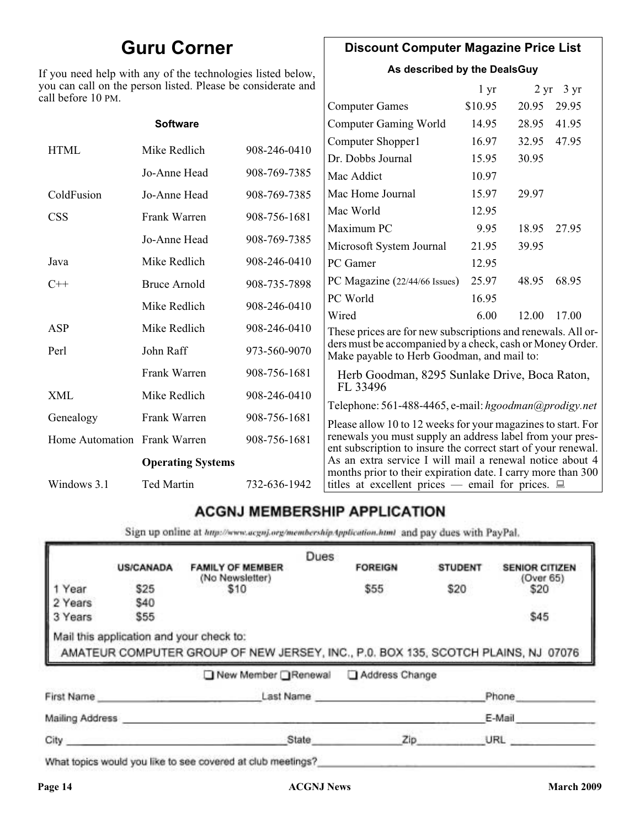# **Guru Corner**

If you need help with any of the technologies listed below, you can call on the person listed. Please be considerate and ca

#### **Discount Computer Magazine Price List**

**As described by the DealsGuy**

|                              |                                                                              | 1 <sub>yr</sub>                                                              |          | $2 \text{ yr}$ 3 yr                                                                          |                                                                                                                                                                                                                                                                                                                                                                                                                                                                                                                                                                                                             |
|------------------------------|------------------------------------------------------------------------------|------------------------------------------------------------------------------|----------|----------------------------------------------------------------------------------------------|-------------------------------------------------------------------------------------------------------------------------------------------------------------------------------------------------------------------------------------------------------------------------------------------------------------------------------------------------------------------------------------------------------------------------------------------------------------------------------------------------------------------------------------------------------------------------------------------------------------|
|                              |                                                                              | <b>Computer Games</b>                                                        | \$10.95  | 20.95                                                                                        | 29.95                                                                                                                                                                                                                                                                                                                                                                                                                                                                                                                                                                                                       |
| <b>Software</b>              |                                                                              | Computer Gaming World                                                        | 14.95    | 28.95                                                                                        | 41.95                                                                                                                                                                                                                                                                                                                                                                                                                                                                                                                                                                                                       |
|                              |                                                                              | Computer Shopper1                                                            | 16.97    | 32.95                                                                                        | 47.95                                                                                                                                                                                                                                                                                                                                                                                                                                                                                                                                                                                                       |
|                              |                                                                              | Dr. Dobbs Journal                                                            | 15.95    | 30.95                                                                                        |                                                                                                                                                                                                                                                                                                                                                                                                                                                                                                                                                                                                             |
| Jo-Anne Head                 | 908-769-7385                                                                 | Mac Addict                                                                   | 10.97    |                                                                                              |                                                                                                                                                                                                                                                                                                                                                                                                                                                                                                                                                                                                             |
| Jo-Anne Head                 | 908-769-7385                                                                 | Mac Home Journal                                                             | 15.97    | 29.97                                                                                        |                                                                                                                                                                                                                                                                                                                                                                                                                                                                                                                                                                                                             |
|                              |                                                                              | Mac World                                                                    | 12.95    |                                                                                              |                                                                                                                                                                                                                                                                                                                                                                                                                                                                                                                                                                                                             |
|                              |                                                                              | Maximum PC                                                                   | 9.95     | 18.95                                                                                        | 27.95                                                                                                                                                                                                                                                                                                                                                                                                                                                                                                                                                                                                       |
|                              |                                                                              | Microsoft System Journal                                                     | 21.95    | 39.95                                                                                        |                                                                                                                                                                                                                                                                                                                                                                                                                                                                                                                                                                                                             |
| Mike Redlich                 | 908-246-0410                                                                 | PC Gamer                                                                     | 12.95    |                                                                                              |                                                                                                                                                                                                                                                                                                                                                                                                                                                                                                                                                                                                             |
| <b>Bruce Arnold</b>          | 908-735-7898                                                                 |                                                                              | 25.97    | 48.95                                                                                        | 68.95                                                                                                                                                                                                                                                                                                                                                                                                                                                                                                                                                                                                       |
|                              |                                                                              | PC World                                                                     | 16.95    |                                                                                              |                                                                                                                                                                                                                                                                                                                                                                                                                                                                                                                                                                                                             |
|                              |                                                                              | Wired                                                                        | 6.00     | 12.00                                                                                        | 17.00                                                                                                                                                                                                                                                                                                                                                                                                                                                                                                                                                                                                       |
|                              |                                                                              |                                                                              |          |                                                                                              |                                                                                                                                                                                                                                                                                                                                                                                                                                                                                                                                                                                                             |
| John Raff                    | 973-560-9070                                                                 |                                                                              |          |                                                                                              |                                                                                                                                                                                                                                                                                                                                                                                                                                                                                                                                                                                                             |
| Frank Warren                 | 908-756-1681                                                                 |                                                                              |          |                                                                                              |                                                                                                                                                                                                                                                                                                                                                                                                                                                                                                                                                                                                             |
| Mike Redlich                 | 908-246-0410                                                                 |                                                                              |          |                                                                                              |                                                                                                                                                                                                                                                                                                                                                                                                                                                                                                                                                                                                             |
| Frank Warren                 | 908-756-1681                                                                 |                                                                              |          |                                                                                              |                                                                                                                                                                                                                                                                                                                                                                                                                                                                                                                                                                                                             |
| Home Automation Frank Warren | 908-756-1681                                                                 |                                                                              |          |                                                                                              |                                                                                                                                                                                                                                                                                                                                                                                                                                                                                                                                                                                                             |
| <b>Operating Systems</b>     |                                                                              |                                                                              |          |                                                                                              |                                                                                                                                                                                                                                                                                                                                                                                                                                                                                                                                                                                                             |
| <b>Ted Martin</b>            | 732-636-1942                                                                 | titles at excellent prices — email for prices. $\Box$                        |          |                                                                                              |                                                                                                                                                                                                                                                                                                                                                                                                                                                                                                                                                                                                             |
|                              | Mike Redlich<br>Frank Warren<br>Jo-Anne Head<br>Mike Redlich<br>Mike Redlich | 908-246-0410<br>908-756-1681<br>908-769-7385<br>908-246-0410<br>908-246-0410 | FL 33496 | ou can call on the person listed. Please be considerate and<br>PC Magazine (22/44/66 Issues) | These prices are for new subscriptions and renewals. All or-<br>ders must be accompanied by a check, cash or Money Order.<br>Make payable to Herb Goodman, and mail to:<br>Herb Goodman, 8295 Sunlake Drive, Boca Raton,<br>Telephone: 561-488-4465, e-mail: hgoodman@prodigy.net<br>Please allow 10 to 12 weeks for your magazines to start. For<br>renewals you must supply an address label from your pres-<br>ent subscription to insure the correct start of your renewal.<br>As an extra service I will mail a renewal notice about 4<br>months prior to their expiration date. I carry more than 300 |

## **ACGNJ MEMBERSHIP APPLICATION**

Sign up online at http://www.acguj.org/membershipApplication.html and pay dues with PayPal.

|                 |                                          |                                                                                   | Dues |                |                |                                    |
|-----------------|------------------------------------------|-----------------------------------------------------------------------------------|------|----------------|----------------|------------------------------------|
|                 | <b>US/CANADA</b>                         | <b>FAMILY OF MEMBER</b><br>(No Newsletter)                                        |      | <b>FOREIGN</b> | <b>STUDENT</b> | <b>SENIOR CITIZEN</b><br>(Over 65) |
| 1 Year          | \$25                                     | \$10                                                                              |      | \$55           | \$20           | \$20                               |
| 2 Years         | \$40                                     |                                                                                   |      |                |                |                                    |
| 3 Years         | \$55                                     |                                                                                   |      |                |                | \$45                               |
|                 | Mail this application and your check to: | AMATEUR COMPUTER GROUP OF NEW JERSEY, INC., P.0. BOX 135, SCOTCH PLAINS, NJ 07076 |      |                |                |                                    |
|                 |                                          | ■ New Member Renewal                                                              |      | Address Change |                |                                    |
| First Name      |                                          | Last Name                                                                         |      |                |                | Phone                              |
| Mailing Address |                                          |                                                                                   |      |                |                | E-Mail                             |

What topics would you like to see covered at club meetings?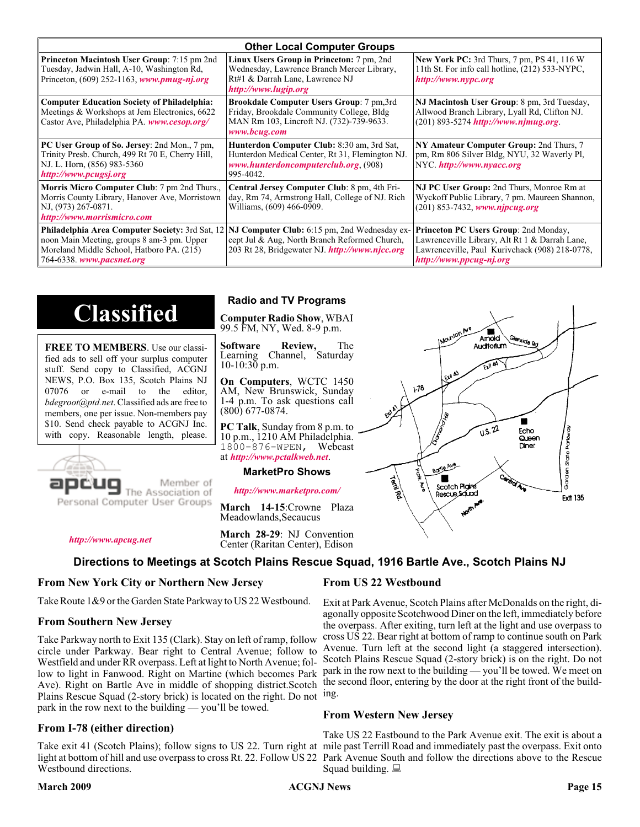|                                                                                                                                                            | <b>Other Local Computer Groups</b>                                                                                                                                                                     |                                                                                                                                                                             |
|------------------------------------------------------------------------------------------------------------------------------------------------------------|--------------------------------------------------------------------------------------------------------------------------------------------------------------------------------------------------------|-----------------------------------------------------------------------------------------------------------------------------------------------------------------------------|
| <b>Princeton Macintosh User Group:</b> 7:15 pm 2nd<br>Tuesday, Jadwin Hall, A-10, Washington Rd,<br>Princeton, $(609)$ 252-1163, www.pmug-nj.org           | Linux Users Group in Princeton: 7 pm, 2nd<br>Wednesday, Lawrence Branch Mercer Library,<br>Rt#1 & Darrah Lane, Lawrence NJ<br>http://www.lugip.org                                                     | <b>New York PC:</b> 3rd Thurs, 7 pm, PS 41, 116 W<br>11th St. For info call hotline, (212) 533-NYPC,<br>http://www.nypc.org                                                 |
| <b>Computer Education Society of Philadelphia:</b><br>Meetings & Workshops at Jem Electronics, 6622<br>Castor Ave, Philadelphia PA. www.cesop.org/         | <b>Brookdale Computer Users Group:</b> 7 pm, 3rd<br>Friday, Brookdale Community College, Bldg<br>MAN Rm 103, Lincroft NJ. (732)-739-9633.<br>www.bcug.com                                              | NJ Macintosh User Group: 8 pm, 3rd Tuesday,<br>Allwood Branch Library, Lyall Rd, Clifton NJ.<br>$(201)$ 893-5274 http://www.njmug.org.                                      |
| PC User Group of So. Jersey: 2nd Mon., 7 pm,<br>Trinity Presb. Church, 499 Rt 70 E, Cherry Hill,<br>NJ. L. Horn, (856) 983-5360<br>http://www.pcugsj.org   | Hunterdon Computer Club: 8:30 am, 3rd Sat,<br>Hunterdon Medical Center, Rt 31, Flemington NJ.<br>www.hunterdoncomputerclub.org (908)<br>995-4042.                                                      | NY Amateur Computer Group: 2nd Thurs, 7<br>pm, Rm 806 Silver Bldg, NYU, 32 Waverly Pl,<br>NYC http://www.nyacc.org                                                          |
| <b>Morris Micro Computer Club:</b> 7 pm 2nd Thurs.,<br>Morris County Library, Hanover Ave, Morristown<br>NJ, (973) 267-0871.<br>http://www.morrismicro.com | Central Jersey Computer Club: 8 pm, 4th Fri-<br>day, Rm 74, Armstrong Hall, College of NJ. Rich<br>Williams, (609) 466-0909.                                                                           | NJ PC User Group: 2nd Thurs, Monroe Rm at<br>Wyckoff Public Library, 7 pm. Maureen Shannon,<br>$(201)$ 853-7432, www.njpcug.org                                             |
| noon Main Meeting, groups 8 am-3 pm. Upper<br>Moreland Middle School, Hatboro PA. (215)<br>764-6338. www.pacsnet.org                                       | <b>Philadelphia Area Computer Society: 3rd Sat, 12 NJ Computer Club: 6:15 pm, 2nd Wednesday ex-</b><br>cept Jul & Aug, North Branch Reformed Church,<br>203 Rt 28, Bridgewater NJ. http://www.njcc.org | <b>Princeton PC Users Group: 2nd Monday,</b><br>Lawrenceville Library, Alt Rt 1 & Darrah Lane,<br>Lawrenceville, Paul Kurivchack (908) 218-0778,<br>http://www.ppcug-nj.org |

# **Classified**

**FREE TO MEMBERS**. Use our classified ads to sell off your surplus computer stuff. Send copy to Classified, ACGNJ NEWS, P.O. Box 135, Scotch Plains NJ 07076 or e-mail to the editor, *bdegroot@ptd.net*. Classified ads are free to members, one per issue. Non-members pay \$10. Send check payable to ACGNJ Inc. with copy. Reasonable length, please.



# Member of

Meadowlands,Secaucus

#### **Directions to Meetings at Scotch Plains Rescue Squad, 1916 Bartle Ave., Scotch Plains NJ**

#### **From New York City or Northern New Jersey**

Take Route 1&9 or the Garden State Parkway to US 22 Westbound.

#### **From Southern New Jersey**

*<http://www.apcug.net>*

Take Parkway north to Exit 135 (Clark). Stay on left of ramp, follow circle under Parkway. Bear right to Central Avenue; follow to Westfield and under RR overpass. Left at light to North Avenue; follow to light in Fanwood. Right on Martine (which becomes Park Ave). Right on Bartle Ave in middle of shopping district.Scotch Plains Rescue Squad (2-story brick) is located on the right. Do not ing. park in the row next to the building — you'll be towed.

#### **From I-78 (either direction)**

Take exit 41 (Scotch Plains); follow signs to US 22. Turn right at mile past Terrill Road and immediately past the overpass. Exit onto light at bottom of hill and use overpass to cross Rt. 22. Follow US 22 Park Avenue South and follow the directions above to the Rescue Westbound directions.

#### **Radio and TV Programs**

**Computer Radio Show**, WBAI 99.5 FM, NY, Wed. 8-9 p.m.

**Software Review,** The Learning Channel, Saturday 10-10:30 p.m.

**On Computers**, WCTC 1450 AM, New Brunswick, Sunday 1-4 p.m. To ask questions call (800) 677-0874.

**PC Talk**, Sunday from 8 p.m. to 10 p.m., 1210 AM Philadelphia. 1800-876-WPEN, Webcast at *<http://www.pctalkweb.net>*.

#### **MarketPro Shows**

*<http://www.marketpro.com/>*

**March 14-15**:Crowne Plaza

**March 28-29**: NJ Convention Center (Raritan Center), Edison

#### **From US 22 Westbound**

Exit at Park Avenue, Scotch Plains after McDonalds on the right, diagonally opposite Scotchwood Diner on the left, immediately before the overpass. After exiting, turn left at the light and use overpass to cross US 22. Bear right at bottom of ramp to continue south on Park Avenue. Turn left at the second light (a staggered intersection). Scotch Plains Rescue Squad (2-story brick) is on the right. Do not park in the row next to the building — you'll be towed. We meet on the second floor, entering by the door at the right front of the build-

#### **From Western New Jersey**

Take US 22 Eastbound to the Park Avenue exit. The exit is about a Squad building.  $\Box$